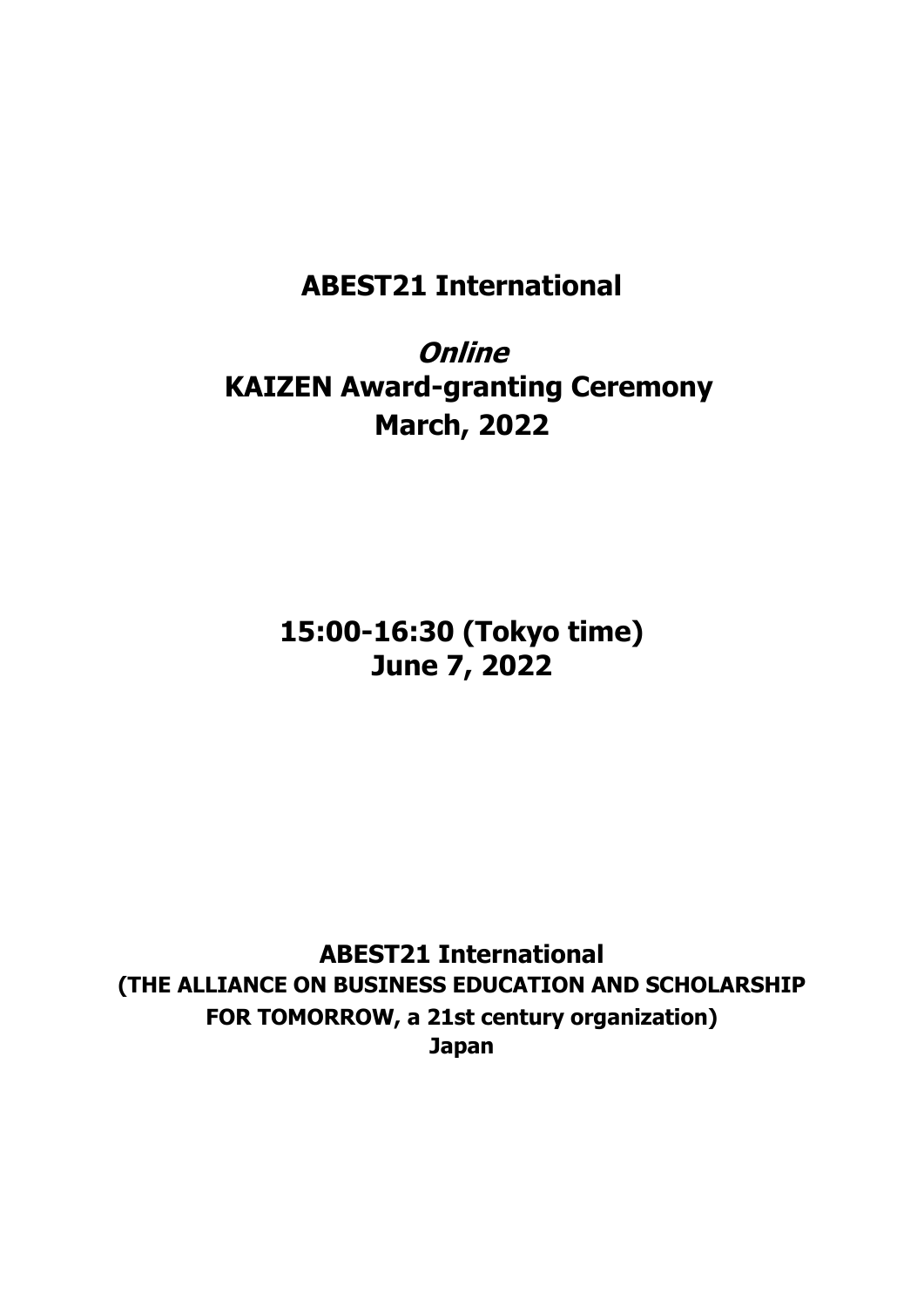# **ABEST21 International**

**Online KAIZEN Award-granting Ceremony March, 2022**

> **15:00-16:30 (Tokyo time) June 7, 2022**

**ABEST21 International (THE ALLIANCE ON BUSINESS EDUCATION AND SCHOLARSHIP FOR TOMORROW, a 21st century organization) Japan**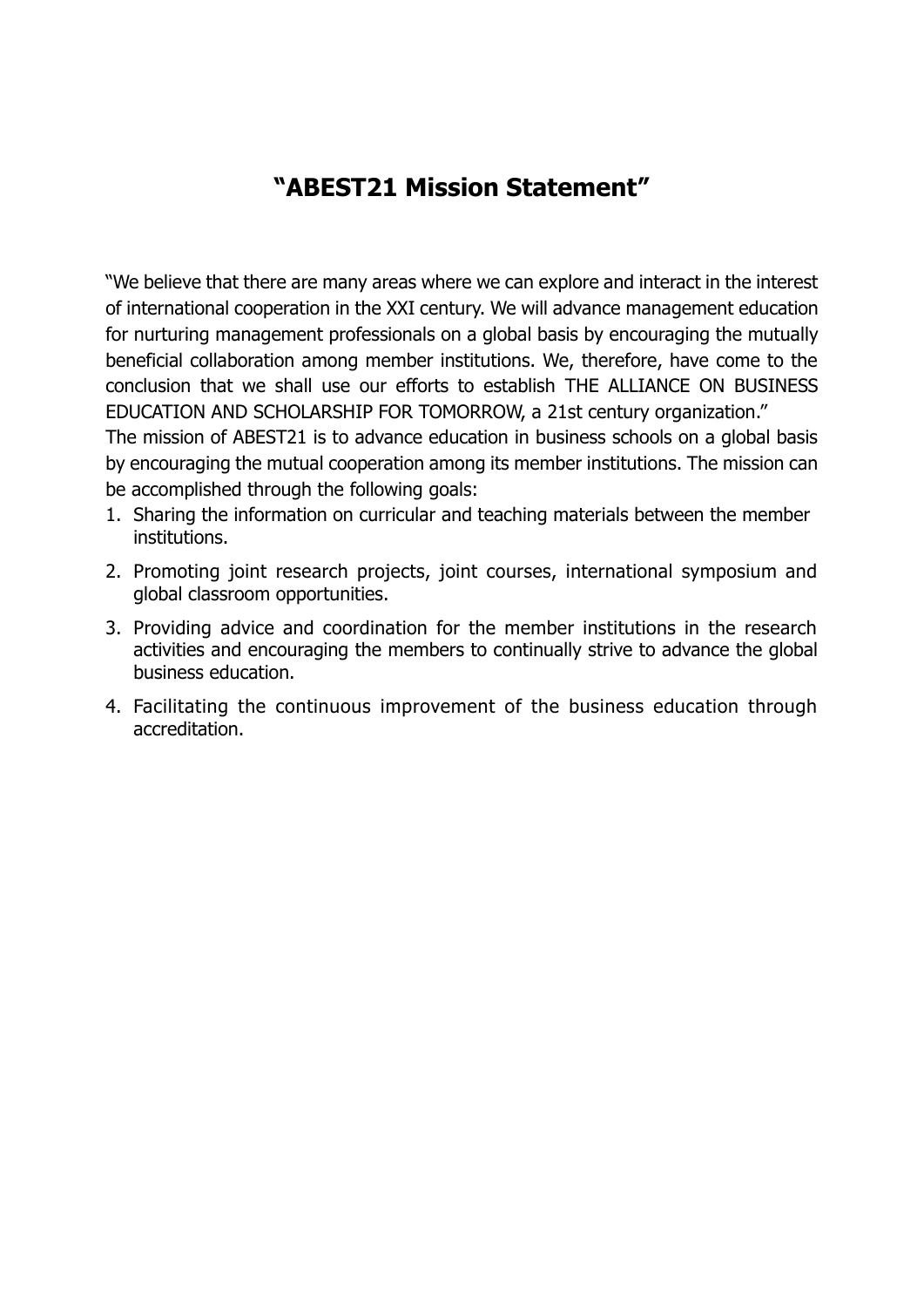### **"ABEST21 Mission Statement"**

"We believe that there are many areas where we can explore and interact in the interest of international cooperation in the XXI century. We will advance management education for nurturing management professionals on a global basis by encouraging the mutually beneficial collaboration among member institutions. We, therefore, have come to the conclusion that we shall use our efforts to establish THE ALLIANCE ON BUSINESS EDUCATION AND SCHOLARSHIP FOR TOMORROW, a 21st century organization."

The mission of ABEST21 is to advance education in business schools on a global basis by encouraging the mutual cooperation among its member institutions. The mission can be accomplished through the following goals:

- 1. Sharing the information on curricular and teaching materials between the member institutions.
- 2. Promoting joint research projects, joint courses, international symposium and global classroom opportunities.
- 3. Providing advice and coordination for the member institutions in the research activities and encouraging the members to continually strive to advance the global business education.
- 4. Facilitating the continuous improvement of the business education through accreditation.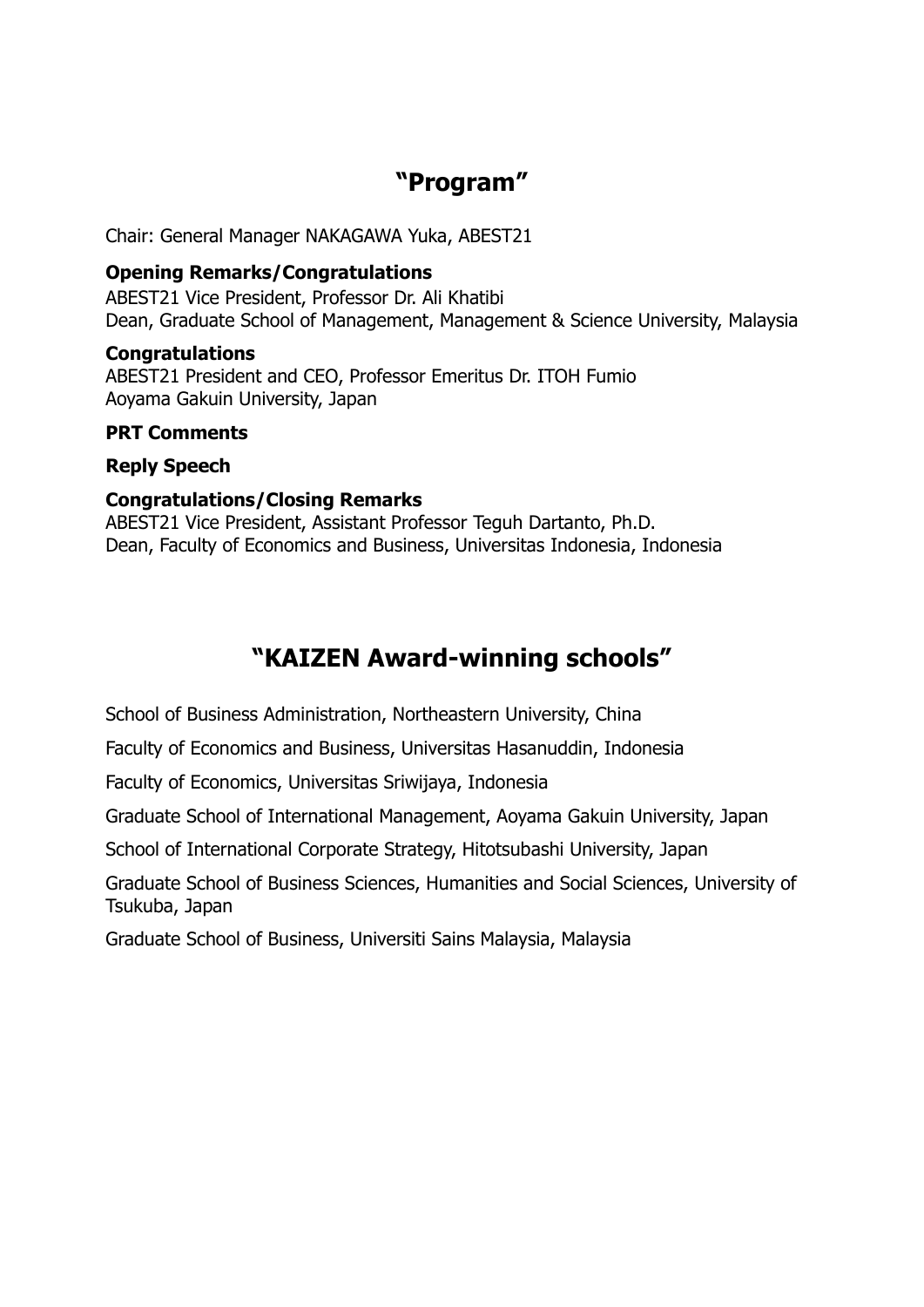# **"Program"**

Chair: General Manager NAKAGAWA Yuka, ABEST21

#### **Opening Remarks/Congratulations**

ABEST21 Vice President, Professor Dr. Ali Khatibi Dean, Graduate School of Management, Management & Science University, Malaysia

#### **Congratulations**

ABEST21 President and CEO, Professor Emeritus Dr. ITOH Fumio Aoyama Gakuin University, Japan

#### **PRT Comments**

### **Reply Speech**

### **Congratulations/Closing Remarks**

ABEST21 Vice President, Assistant Professor Teguh Dartanto, Ph.D. Dean, Faculty of Economics and Business, Universitas Indonesia, Indonesia

# **"KAIZEN Award-winning schools"**

School of Business Administration, Northeastern University, China

Faculty of Economics and Business, Universitas Hasanuddin, Indonesia

Faculty of Economics, Universitas Sriwijaya, Indonesia

Graduate School of International Management, Aoyama Gakuin University, Japan

School of International Corporate Strategy, Hitotsubashi University, Japan

Graduate School of Business Sciences, Humanities and Social Sciences, University of Tsukuba, Japan

Graduate School of Business, Universiti Sains Malaysia, Malaysia